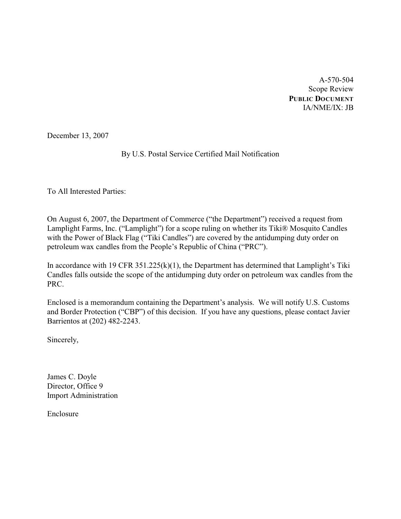A-570-504 Scope Review **PUBLIC DOCUMENT** IA/NME/IX: JB

December 13, 2007

## By U.S. Postal Service Certified Mail Notification

To All Interested Parties:

On August 6, 2007, the Department of Commerce ("the Department") received a request from Lamplight Farms, Inc. ("Lamplight") for a scope ruling on whether its Tiki® Mosquito Candles with the Power of Black Flag ("Tiki Candles") are covered by the antidumping duty order on petroleum wax candles from the People's Republic of China ("PRC").

In accordance with 19 CFR  $351.225(k)(1)$ , the Department has determined that Lamplight's Tiki Candles falls outside the scope of the antidumping duty order on petroleum wax candles from the PRC.

Enclosed is a memorandum containing the Department's analysis. We will notify U.S. Customs and Border Protection ("CBP") of this decision. If you have any questions, please contact Javier Barrientos at (202) 482-2243.

Sincerely,

James C. Doyle Director, Office 9 Import Administration

Enclosure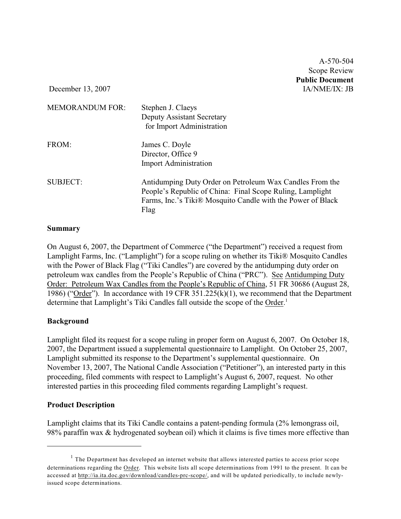A-570-504 Scope Review **Public Document**

December 13, 2007 IA/NME/IX: JB

| <b>MEMORANDUM FOR:</b> | Stephen J. Claeys<br><b>Deputy Assistant Secretary</b><br>for Import Administration                                                                                                          |
|------------------------|----------------------------------------------------------------------------------------------------------------------------------------------------------------------------------------------|
| FROM:                  | James C. Doyle<br>Director, Office 9<br><b>Import Administration</b>                                                                                                                         |
| <b>SUBJECT:</b>        | Antidumping Duty Order on Petroleum Wax Candles From the<br>People's Republic of China: Final Scope Ruling, Lamplight<br>Farms, Inc.'s Tiki® Mosquito Candle with the Power of Black<br>Flag |

### **Summary**

On August 6, 2007, the Department of Commerce ("the Department") received a request from Lamplight Farms, Inc. ("Lamplight") for a scope ruling on whether its Tiki® Mosquito Candles with the Power of Black Flag ("Tiki Candles") are covered by the antidumping duty order on petroleum wax candles from the People's Republic of China ("PRC"). See Antidumping Duty Order: Petroleum Wax Candles from the People's Republic of China, 51 FR 30686 (August 28, 1986) ("Order"). In accordance with 19 CFR 351.225(k)(1), we recommend that the Department determine that Lamplight's Tiki Candles fall outside the scope of the Order.<sup>1</sup>

## **Background**

Lamplight filed its request for a scope ruling in proper form on August 6, 2007. On October 18, 2007, the Department issued a supplemental questionnaire to Lamplight. On October 25, 2007, Lamplight submitted its response to the Department's supplemental questionnaire. On November 13, 2007, The National Candle Association ("Petitioner"), an interested party in this proceeding, filed comments with respect to Lamplight's August 6, 2007, request. No other interested parties in this proceeding filed comments regarding Lamplight's request.

## **Product Description**

Lamplight claims that its Tiki Candle contains a patent-pending formula (2% lemongrass oil, 98% paraffin wax & hydrogenated soybean oil) which it claims is five times more effective than

 $1$  The Department has developed an internet website that allows interested parties to access prior scope determinations regarding the Order. This website lists all scope determinations from 1991 to the present. It can be accessed at <http://ia.ita.doc.gov/download/candles-prc-scope/,>and will be updated periodically, to include newlyissued scope determinations.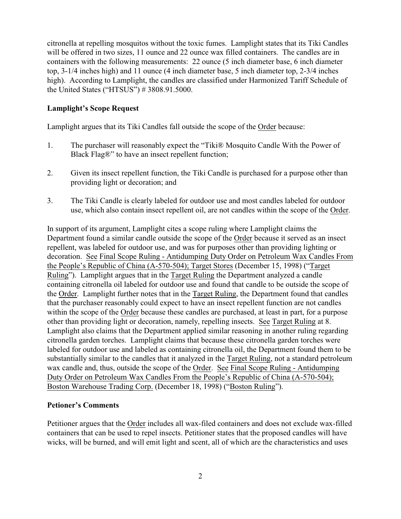citronella at repelling mosquitos without the toxic fumes. Lamplight states that its Tiki Candles will be offered in two sizes, 11 ounce and 22 ounce wax filled containers. The candles are in containers with the following measurements: 22 ounce (5 inch diameter base, 6 inch diameter top, 3-1/4 inches high) and 11 ounce (4 inch diameter base, 5 inch diameter top, 2-3/4 inches high). According to Lamplight, the candles are classified under Harmonized Tariff Schedule of the United States ("HTSUS") # 3808.91.5000.

## **Lamplight's Scope Request**

Lamplight argues that its Tiki Candles fall outside the scope of the Order because:

- 1. The purchaser will reasonably expect the "Tiki® Mosquito Candle With the Power of Black Flag®" to have an insect repellent function;
- 2. Given its insect repellent function, the Tiki Candle is purchased for a purpose other than providing light or decoration; and
- 3. The Tiki Candle is clearly labeled for outdoor use and most candles labeled for outdoor use, which also contain insect repellent oil, are not candles within the scope of the Order.

In support of its argument, Lamplight cites a scope ruling where Lamplight claims the Department found a similar candle outside the scope of the Order because it served as an insect repellent, was labeled for outdoor use, and was for purposes other than providing lighting or decoration. See Final Scope Ruling - Antidumping Duty Order on Petroleum Wax Candles From the People's Republic of China (A-570-504); Target Stores (December 15, 1998) ("Target Ruling"). Lamplight argues that in the Target Ruling the Department analyzed a candle containing citronella oil labeled for outdoor use and found that candle to be outside the scope of the Order. Lamplight further notes that in the Target Ruling, the Department found that candles that the purchaser reasonably could expect to have an insect repellent function are not candles within the scope of the Order because these candles are purchased, at least in part, for a purpose other than providing light or decoration, namely, repelling insects. See Target Ruling at 8. Lamplight also claims that the Department applied similar reasoning in another ruling regarding citronella garden torches. Lamplight claims that because these citronella garden torches were labeled for outdoor use and labeled as containing citronella oil, the Department found them to be substantially similar to the candles that it analyzed in the Target Ruling, not a standard petroleum wax candle and, thus, outside the scope of the Order. See Final Scope Ruling - Antidumping Duty Order on Petroleum Wax Candles From the People's Republic of China (A-570-504); Boston Warehouse Trading Corp. (December 18, 1998) ("Boston Ruling").

## **Petioner's Comments**

Petitioner argues that the Order includes all wax-filed containers and does not exclude wax-filled containers that can be used to repel insects. Petitioner states that the proposed candles will have wicks, will be burned, and will emit light and scent, all of which are the characteristics and uses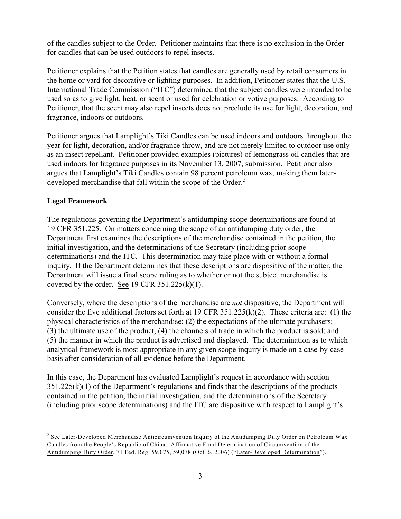of the candles subject to the Order. Petitioner maintains that there is no exclusion in the Order for candles that can be used outdoors to repel insects.

Petitioner explains that the Petition states that candles are generally used by retail consumers in the home or yard for decorative or lighting purposes. In addition, Petitioner states that the U.S. International Trade Commission ("ITC") determined that the subject candles were intended to be used so as to give light, heat, or scent or used for celebration or votive purposes. According to Petitioner, that the scent may also repel insects does not preclude its use for light, decoration, and fragrance, indoors or outdoors.

Petitioner argues that Lamplight's Tiki Candles can be used indoors and outdoors throughout the year for light, decoration, and/or fragrance throw, and are not merely limited to outdoor use only as an insect repellant. Petitioner provided examples (pictures) of lemongrass oil candles that are used indoors for fragrance purposes in its November 13, 2007, submission. Petitioner also argues that Lamplight's Tiki Candles contain 98 percent petroleum wax, making them laterdeveloped merchandise that fall within the scope of the Order.<sup>2</sup>

### **Legal Framework**

The regulations governing the Department's antidumping scope determinations are found at 19 CFR 351.225. On matters concerning the scope of an antidumping duty order, the Department first examines the descriptions of the merchandise contained in the petition, the initial investigation, and the determinations of the Secretary (including prior scope determinations) and the ITC. This determination may take place with or without a formal inquiry. If the Department determines that these descriptions are dispositive of the matter, the Department will issue a final scope ruling as to whether or not the subject merchandise is covered by the order. See 19 CFR  $351.225(k)(1)$ .

Conversely, where the descriptions of the merchandise are *not* dispositive, the Department will consider the five additional factors set forth at 19 CFR 351.225(k)(2). These criteria are: (1) the physical characteristics of the merchandise; (2) the expectations of the ultimate purchasers; (3) the ultimate use of the product; (4) the channels of trade in which the product is sold; and (5) the manner in which the product is advertised and displayed. The determination as to which analytical framework is most appropriate in any given scope inquiry is made on a case-by-case basis after consideration of all evidence before the Department.

In this case, the Department has evaluated Lamplight's request in accordance with section  $351.225(k)(1)$  of the Department's regulations and finds that the descriptions of the products contained in the petition, the initial investigation, and the determinations of the Secretary (including prior scope determinations) and the ITC are dispositive with respect to Lamplight's

<sup>&</sup>lt;sup>2</sup> See Later-Developed Merchandise Anticircumvention Inquiry of the Antidumping Duty Order on Petroleum Wax Candles from the People's Republic of China: Affirmative Final Determination of Circumvention of the Antidumping Duty Order, 71 Fed. Reg. 59,075, 59,078 (Oct. 6, 2006) ("Later-Developed Determination").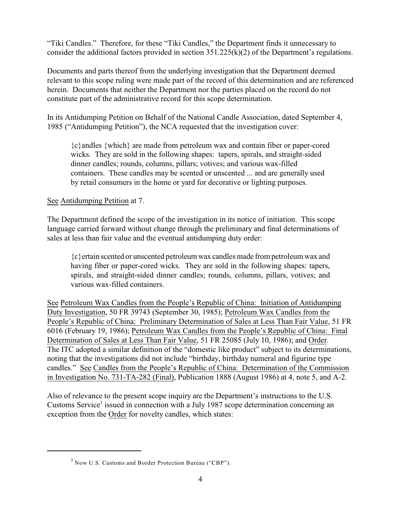"Tiki Candles." Therefore, for these "Tiki Candles," the Department finds it unnecessary to consider the additional factors provided in section 351.225(k)(2) of the Department's regulations.

Documents and parts thereof from the underlying investigation that the Department deemed relevant to this scope ruling were made part of the record of this determination and are referenced herein. Documents that neither the Department nor the parties placed on the record do not constitute part of the administrative record for this scope determination.

In its Antidumping Petition on Behalf of the National Candle Association, dated September 4, 1985 ("Antidumping Petition"), the NCA requested that the investigation cover:

{c}andles {which} are made from petroleum wax and contain fiber or paper-cored wicks. They are sold in the following shapes: tapers, spirals, and straight-sided dinner candles; rounds, columns, pillars; votives; and various wax-filled containers. These candles may be scented or unscented ... and are generally used by retail consumers in the home or yard for decorative or lighting purposes.

See Antidumping Petition at 7.

The Department defined the scope of the investigation in its notice of initiation. This scope language carried forward without change through the preliminary and final determinations of sales at less than fair value and the eventual antidumping duty order:

{c}ertain scented or unscented petroleum wax candles made from petroleum wax and having fiber or paper-cored wicks. They are sold in the following shapes: tapers, spirals, and straight-sided dinner candles; rounds, columns, pillars, votives; and various wax-filled containers.

See Petroleum Wax Candles from the People's Republic of China: Initiation of Antidumping Duty Investigation, 50 FR 39743 (September 30, 1985); Petroleum Wax Candles from the People's Republic of China: Preliminary Determination of Sales at Less Than Fair Value, 51 FR 6016 (February 19, 1986); Petroleum Wax Candles from the People's Republic of China: Final Determination of Sales at Less Than Fair Value, 51 FR 25085 (July 10, 1986); and Order. The ITC adopted a similar definition of the "domestic like product" subject to its determinations, noting that the investigations did not include "birthday, birthday numeral and figurine type candles." See Candles from the People's Republic of China: Determination of the Commission in Investigation No. 731-TA-282 (Final), Publication 1888 (August 1986) at 4, note 5, and A-2.

Also of relevance to the present scope inquiry are the Department's instructions to the U.S. Customs Service<sup>3</sup> issued in connection with a July 1987 scope determination concerning an exception from the Order for novelty candles, which states:

 $3$  Now U.S. Customs and Border Protection Bureau ("CBP").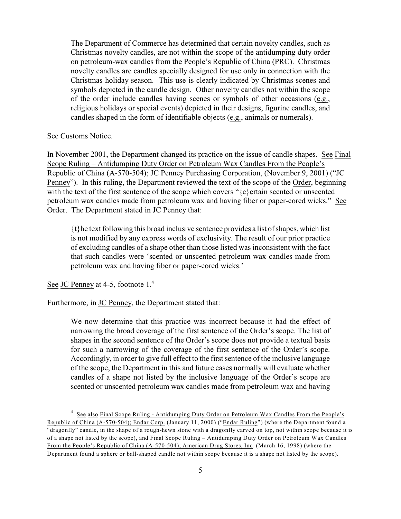The Department of Commerce has determined that certain novelty candles, such as Christmas novelty candles, are not within the scope of the antidumping duty order on petroleum-wax candles from the People's Republic of China (PRC). Christmas novelty candles are candles specially designed for use only in connection with the Christmas holiday season. This use is clearly indicated by Christmas scenes and symbols depicted in the candle design. Other novelty candles not within the scope of the order include candles having scenes or symbols of other occasions (e.g., religious holidays or special events) depicted in their designs, figurine candles, and candles shaped in the form of identifiable objects (e.g., animals or numerals).

#### See Customs Notice.

In November 2001, the Department changed its practice on the issue of candle shapes.See Final Scope Ruling – Antidumping Duty Order on Petroleum Wax Candles From the People's Republic of China (A-570-504); JC Penney Purchasing Corporation, (November 9, 2001) ("JC Penney"). In this ruling, the Department reviewed the text of the scope of the Order, beginning with the text of the first sentence of the scope which covers "{c}ertain scented or unscented petroleum wax candles made from petroleum wax and having fiber or paper-cored wicks." See Order. The Department stated in JC Penney that:

 $\{t\}$ he text following this broad inclusive sentence provides a list of shapes, which list is not modified by any express words of exclusivity. The result of our prior practice of excluding candles of a shape other than those listed was inconsistent with the fact that such candles were 'scented or unscented petroleum wax candles made from petroleum wax and having fiber or paper-cored wicks.'

See JC Penney at 4-5, footnote 1.<sup>4</sup>

Furthermore, in JC Penney, the Department stated that:

We now determine that this practice was incorrect because it had the effect of narrowing the broad coverage of the first sentence of the Order's scope. The list of shapes in the second sentence of the Order's scope does not provide a textual basis for such a narrowing of the coverage of the first sentence of the Order's scope. Accordingly, in order to give full effect to the first sentence of the inclusive language of the scope, the Department in this and future cases normally will evaluate whether candles of a shape not listed by the inclusive language of the Order's scope are scented or unscented petroleum wax candles made from petroleum wax and having

<sup>&</sup>lt;sup>4</sup> See also Final Scope Ruling - Antidumping Duty Order on Petroleum Wax Candles From the People's Republic of China (A-570-504); Endar Corp. (January 11, 2000) ("Endar Ruling") (where the Department found a "dragonfly" candle, in the shape of a rough-hewn stone with a dragonfly carved on top, not within scope because it is of a shape not listed by the scope), and Final Scope Ruling – Antidumping Duty Order on Petroleum Wax Candles From the People's Republic of China (A-570-504); American Drug Stores, Inc*.* (March 16, 1998) (where the Department found a sphere or ball-shaped candle not within scope because it is a shape not listed by the scope).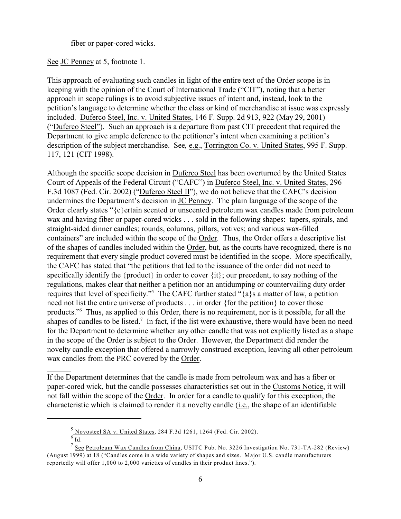fiber or paper-cored wicks.

See JC Penney at 5, footnote 1.

This approach of evaluating such candles in light of the entire text of the Order scope is in keeping with the opinion of the Court of International Trade ("CIT"), noting that a better approach in scope rulings is to avoid subjective issues of intent and, instead, look to the petition's language to determine whether the class or kind of merchandise at issue was expressly included. Duferco Steel, Inc. v. United States, 146 F. Supp. 2d 913, 922 (May 29, 2001) ("Duferco Steel"). Such an approach is a departure from past CIT precedent that required the Department to give ample deference to the petitioner's intent when examining a petition's description of the subject merchandise. See*,* e.g., Torrington Co. v. United States, 995 F. Supp. 117, 121 (CIT 1998).

Although the specific scope decision in Duferco Steel has been overturned by the United States Court of Appeals of the Federal Circuit ("CAFC") in Duferco Steel, Inc. v. United States, 296 F.3d 1087 (Fed. Cir. 2002) ("Duferco Steel II"), we do not believe that the CAFC's decision undermines the Department's decision in JC Penney. The plain language of the scope of the Order clearly states "{c}ertain scented or unscented petroleum wax candles made from petroleum wax and having fiber or paper-cored wicks . . . sold in the following shapes: tapers, spirals, and straight-sided dinner candles; rounds, columns, pillars, votives; and various wax-filled containers" are included within the scope of the Order*.* Thus, the Order offers a descriptive list of the shapes of candles included within the Order, but, as the courts have recognized, there is no requirement that every single product covered must be identified in the scope. More specifically, the CAFC has stated that "the petitions that led to the issuance of the order did not need to specifically identify the {product} in order to cover {it}; our precedent, to say nothing of the regulations, makes clear that neither a petition nor an antidumping or countervailing duty order requires that level of specificity."<sup>5</sup> The CAFC further stated " $\{a\}$ s a matter of law, a petition need not list the entire universe of products . . . in order {for the petition} to cover those products." Thus, as applied to this Order, there is no requirement, nor is it possible, for all the shapes of candles to be listed.<sup>7</sup> In fact, if the list were exhaustive, there would have been no need for the Department to determine whether any other candle that was not explicitly listed as a shape in the scope of the Order is subject to the Order. However, the Department did render the novelty candle exception that offered a narrowly construed exception, leaving all other petroleum wax candles from the PRC covered by the Order.

If the Department determines that the candle is made from petroleum wax and has a fiber or paper-cored wick, but the candle possesses characteristics set out in the Customs Notice, it will not fall within the scope of the Order. In order for a candle to qualify for this exception, the characteristic which is claimed to render it a novelty candle (i.e., the shape of an identifiable

 $\frac{5}{6}$  Novosteel SA v. United States, 284 F.3d 1261, 1264 (Fed. Cir. 2002).

 $Id.$ 

See Petroleum Wax Candles from China, USITC Pub. No. 3226 Investigation No. 731-TA-282 (Review) (August 1999) at 18 ("Candles come in a wide variety of shapes and sizes. Major U.S. candle manufacturers reportedly will offer 1,000 to 2,000 varieties of candles in their product lines.").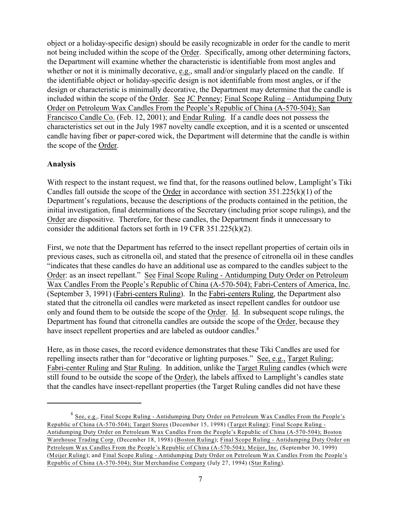object or a holiday-specific design) should be easily recognizable in order for the candle to merit not being included within the scope of the Order. Specifically, among other determining factors, the Department will examine whether the characteristic is identifiable from most angles and whether or not it is minimally decorative, e.g., small and/or singularly placed on the candle. If the identifiable object or holiday-specific design is not identifiable from most angles, or if the design or characteristic is minimally decorative, the Department may determine that the candle is included within the scope of the Order. See JC Penney; Final Scope Ruling – Antidumping Duty Order on Petroleum Wax Candles From the People's Republic of China (A-570-504); San Francisco Candle Co. (Feb. 12, 2001); and Endar Ruling. If a candle does not possess the characteristics set out in the July 1987 novelty candle exception, and it is a scented or unscented candle having fiber or paper-cored wick, the Department will determine that the candle is within the scope of the Order.

### **Analysis**

With respect to the instant request, we find that, for the reasons outlined below, Lamplight's Tiki Candles fall outside the scope of the Order in accordance with section 351.225(k)(1) of the Department's regulations, because the descriptions of the products contained in the petition, the initial investigation, final determinations of the Secretary (including prior scope rulings), and the Order are dispositive. Therefore, for these candles, the Department finds it unnecessary to consider the additional factors set forth in 19 CFR 351.225(k)(2).

First, we note that the Department has referred to the insect repellant properties of certain oils in previous cases, such as citronella oil, and stated that the presence of citronella oil in these candles "indicates that these candles do have an additional use as compared to the candles subject to the Order: as an insect repellant." See Final Scope Ruling - Antidumping Duty Order on Petroleum Wax Candles From the People's Republic of China (A-570-504); Fabri-Centers of America, Inc. (September 3, 1991) (Fabri-centers Ruling). In the Fabri-centers Ruling, the Department also stated that the citronella oil candles were marketed as insect repellent candles for outdoor use only and found them to be outside the scope of the Order. Id. In subsequent scope rulings, the Department has found that citronella candles are outside the scope of the Order, because they have insect repellent properties and are labeled as outdoor candles.<sup>8</sup>

Here, as in those cases, the record evidence demonstrates that these Tiki Candles are used for repelling insects rather than for "decorative or lighting purposes." See, e.g., Target Ruling; Fabri-center Ruling and Star Ruling. In addition, unlike the Target Ruling candles (which were still found to be outside the scope of the Order), the labels affixed to Lamplight's candles state that the candles have insect-repellant properties (the Target Ruling candles did not have these

<sup>&</sup>lt;sup>8</sup> See, e.g., Final Scope Ruling - Antidumping Duty Order on Petroleum Wax Candles From the People's Republic of China (A-570-504); Target Stores (December 15, 1998) (Target Ruling); Final Scope Ruling - Antidumping Duty Order on Petroleum Wax Candles From the People's Republic of China (A-570-504); Boston Warehouse Trading Corp. (December 18, 1998) (Boston Ruling); Final Scope Ruling - Antidumping Duty Order on Petroleum Wax Candles From the People's Republic of China (A-570-504); Meijer, Inc. (September 30, 1999) (Meijer Ruling); and Final Scope Ruling - Antidumping Duty Order on Petroleum Wax Candles From the People's Republic of China (A-570-504); Star Merchandise Company (July 27, 1994) (Star Ruling).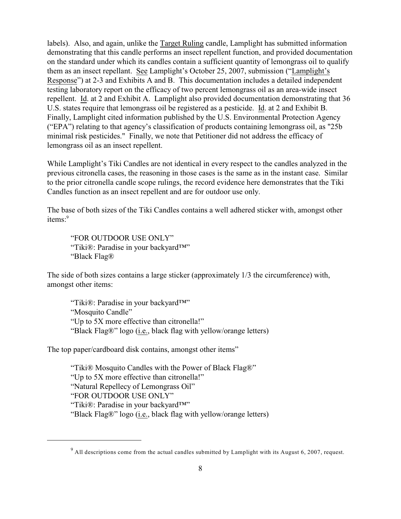labels). Also, and again, unlike the Target Ruling candle, Lamplight has submitted information demonstrating that this candle performs an insect repellent function, and provided documentation on the standard under which its candles contain a sufficient quantity of lemongrass oil to qualify them as an insect repellant. See Lamplight's October 25, 2007, submission ("Lamplight's Response") at 2-3 and Exhibits A and B. This documentation includes a detailed independent testing laboratory report on the efficacy of two percent lemongrass oil as an area-wide insect repellent. Id. at 2 and Exhibit A. Lamplight also provided documentation demonstrating that 36 U.S. states require that lemongrass oil be registered as a pesticide. Id. at 2 and Exhibit B. Finally, Lamplight cited information published by the U.S. Environmental Protection Agency ("EPA") relating to that agency's classification of products containing lemongrass oil, as "25b minimal risk pesticides." Finally, we note that Petitioner did not address the efficacy of lemongrass oil as an insect repellent.

While Lamplight's Tiki Candles are not identical in every respect to the candles analyzed in the previous citronella cases, the reasoning in those cases is the same as in the instant case. Similar to the prior citronella candle scope rulings, the record evidence here demonstrates that the Tiki Candles function as an insect repellent and are for outdoor use only.

The base of both sizes of the Tiki Candles contains a well adhered sticker with, amongst other items:<sup>9</sup>

"FOR OUTDOOR USE ONLY" "Tiki®: Paradise in your backyard™" "Black Flag®

The side of both sizes contains a large sticker (approximately 1/3 the circumference) with, amongst other items:

"Tiki®: Paradise in your backyard™" "Mosquito Candle" "Up to 5X more effective than citronella!" "Black Flag®" logo (i.e., black flag with yellow/orange letters)

The top paper/cardboard disk contains, amongst other items"

"Tiki® Mosquito Candles with the Power of Black Flag®" "Up to 5X more effective than citronella!" "Natural Repellecy of Lemongrass Oil" "FOR OUTDOOR USE ONLY" "Tiki®: Paradise in your backyard™" "Black Flag®" logo (i.e., black flag with yellow/orange letters)

 $9$  All descriptions come from the actual candles submitted by Lamplight with its August 6, 2007, request.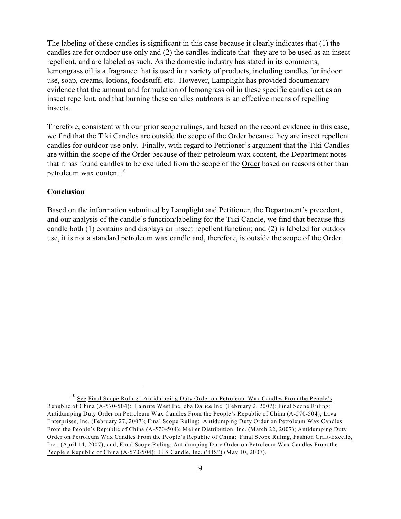The labeling of these candles is significant in this case because it clearly indicates that (1) the candles are for outdoor use only and (2) the candles indicate that they are to be used as an insect repellent, and are labeled as such. As the domestic industry has stated in its comments, lemongrass oil is a fragrance that is used in a variety of products, including candles for indoor use, soap, creams, lotions, foodstuff, etc. However, Lamplight has provided documentary evidence that the amount and formulation of lemongrass oil in these specific candles act as an insect repellent, and that burning these candles outdoors is an effective means of repelling insects.

Therefore, consistent with our prior scope rulings, and based on the record evidence in this case, we find that the Tiki Candles are outside the scope of the Order because they are insect repellent candles for outdoor use only. Finally, with regard to Petitioner's argument that the Tiki Candles are within the scope of the Order because of their petroleum wax content, the Department notes that it has found candles to be excluded from the scope of the Order based on reasons other than petroleum wax content.<sup>10</sup>

## **Conclusion**

Based on the information submitted by Lamplight and Petitioner, the Department's precedent, and our analysis of the candle's function/labeling for the Tiki Candle, we find that because this candle both (1) contains and displays an insect repellent function; and (2) is labeled for outdoor use, it is not a standard petroleum wax candle and, therefore, is outside the scope of the Order.

<sup>&</sup>lt;sup>10</sup> See Final Scope Ruling: Antidumping Duty Order on Petroleum Wax Candles From the People's Republic of China (A-570-504): Lamrite West Inc. dba Darice Inc. (February 2, 2007); Final Scope Ruling: Antidumping Duty Order on Petroleum Wax Candles From the People's Republic of China (A-570-504); Lava Enterprises, Inc. (February 27, 2007); Final Scope Ruling: Antidumping Duty Order on Petroleum Wax Candles From the People's Republic of China (A-570-504); Meijer Distribution, Inc. (March 22, 2007); Antidumping Duty Order on Petroleum Wax Candles From the People's Republic of China: Final Scope Ruling, Fashion Craft-Excello, Inc.; (April 14, 2007); and, Final Scope Ruling: Antidumping Duty Order on Petroleum Wax Candles From the People's Republic of China (A-570-504): H S Candle, Inc. ("HS") (May 10, 2007).